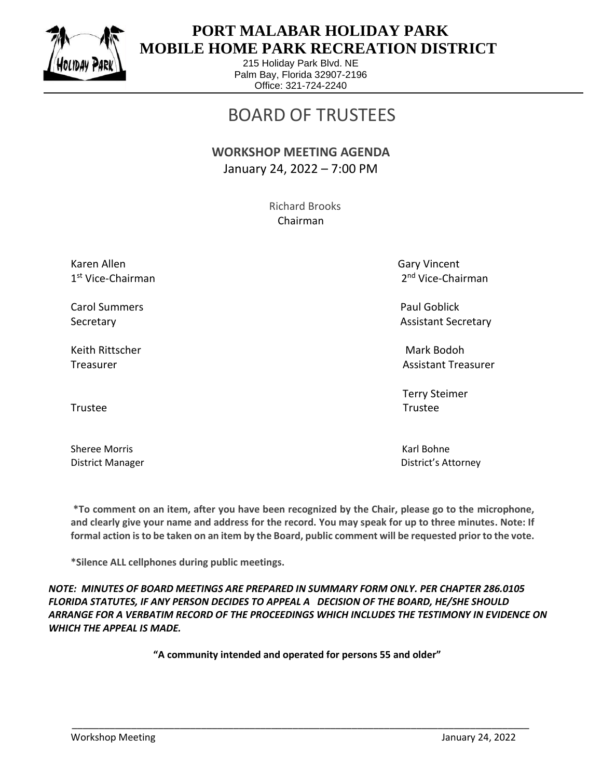

 $\overline{a}$ 

## **PORT MALABAR HOLIDAY PARK MOBILE HOME PARK RECREATION DISTRICT**

215 Holiday Park Blvd. NE Palm Bay, Florida 32907-2196 Office: 321-724-2240

# BOARD OF TRUSTEES

#### **WORKSHOP MEETING AGENDA** January 24, 2022 – 7:00 PM

 Richard Brooks Chairman

Karen Allen Gary Vincent 1 st Vice-Chairman 2

Carol Summers **Paul Goblick Paul Goblick Paul Goblick** 

Keith Rittscher Mark Bodoh (Mark Bodoh Mark Bodoh Mark Bodoh Mark Bodoh Mark Bodoh Mark Bodoh Mark Bodoh Mark

Trustee Trustee

Sheree Morris **Karl Bohne** Karl Bohne

2<sup>nd</sup> Vice-Chairman

Secretary **Assistant Secretary** Assistant Secretary **Assistant Secretary** 

Treasurer Assistant Treasurer Assistant Treasurer Assistant Treasurer Assistant Treasurer

Terry Steimer

District Manager District's Attorney

**\*To comment on an item, after you have been recognized by the Chair, please go to the microphone, and clearly give your name and address for the record. You may speak for up to three minutes. Note: If formal action is to be taken on an item by the Board, public comment will be requested prior to the vote.**

**\*Silence ALL cellphones during public meetings.**

*NOTE: MINUTES OF BOARD MEETINGS ARE PREPARED IN SUMMARY FORM ONLY. PER CHAPTER 286.0105 FLORIDA STATUTES, IF ANY PERSON DECIDES TO APPEAL A DECISION OF THE BOARD, HE/SHE SHOULD ARRANGE FOR A VERBATIM RECORD OF THE PROCEEDINGS WHICH INCLUDES THE TESTIMONY IN EVIDENCE ON WHICH THE APPEAL IS MADE.*

**"A community intended and operated for persons 55 and older"**

\_\_\_\_\_\_\_\_\_\_\_\_\_\_\_\_\_\_\_\_\_\_\_\_\_\_\_\_\_\_\_\_\_\_\_\_\_\_\_\_\_\_\_\_\_\_\_\_\_\_\_\_\_\_\_\_\_\_\_\_\_\_\_\_\_\_\_\_\_\_\_\_\_\_\_\_\_\_\_\_\_\_\_\_\_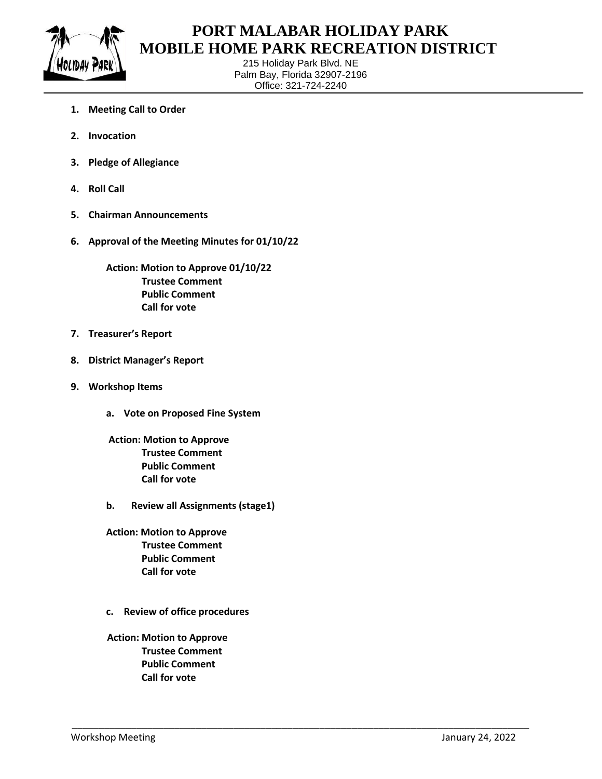

 $\overline{a}$ 

### **PORT MALABAR HOLIDAY PARK MOBILE HOME PARK RECREATION DISTRICT**

215 Holiday Park Blvd. NE Palm Bay, Florida 32907-2196 Office: 321-724-2240

\_\_\_\_\_\_\_\_\_\_\_\_\_\_\_\_\_\_\_\_\_\_\_\_\_\_\_\_\_\_\_\_\_\_\_\_\_\_\_\_\_\_\_\_\_\_\_\_\_\_\_\_\_\_\_\_\_\_\_\_\_\_\_\_\_\_\_\_\_\_\_\_\_\_\_\_\_\_\_\_\_\_\_\_\_

- **1. Meeting Call to Order**
- **2. Invocation**
- **3. Pledge of Allegiance**
- **4. Roll Call**
- **5. Chairman Announcements**
- **6. Approval of the Meeting Minutes for 01/10/22**

**Action: Motion to Approve 01/10/22 Trustee Comment Public Comment Call for vote**

- **7. Treasurer's Report**
- **8. District Manager's Report**
- **9. Workshop Items**
	- **a. Vote on Proposed Fine System**
	- **Action: Motion to Approve Trustee Comment Public Comment Call for vote**
	- **b. Review all Assignments (stage1)**
	- **Action: Motion to Approve Trustee Comment Public Comment Call for vote**
	- **c. Review of office procedures**
	- **Action: Motion to Approve Trustee Comment Public Comment Call for vote**